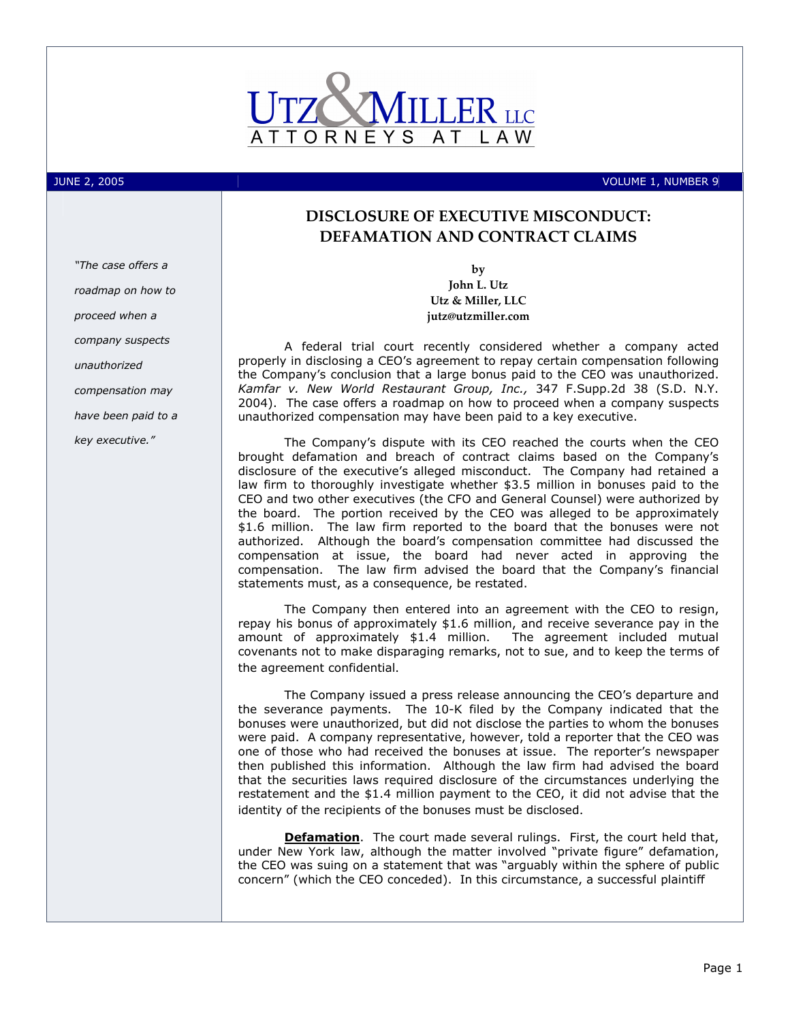

JUNE 2, 2005 VOLUME 1, NUMBER 9

## DISCLOSURE OF EXECUTIVE MISCONDUCT: DEFAMATION AND CONTRACT CLAIMS

by John L. Utz Utz & Miller, LLC jutz@utzmiller.com

A federal trial court recently considered whether a company acted properly in disclosing a CEO's agreement to repay certain compensation following the Company's conclusion that a large bonus paid to the CEO was unauthorized. Kamfar v. New World Restaurant Group, Inc., 347 F.Supp.2d 38 (S.D. N.Y. 2004). The case offers a roadmap on how to proceed when a company suspects unauthorized compensation may have been paid to a key executive.

The Company's dispute with its CEO reached the courts when the CEO brought defamation and breach of contract claims based on the Company's disclosure of the executive's alleged misconduct. The Company had retained a law firm to thoroughly investigate whether \$3.5 million in bonuses paid to the CEO and two other executives (the CFO and General Counsel) were authorized by the board. The portion received by the CEO was alleged to be approximately \$1.6 million. The law firm reported to the board that the bonuses were not authorized. Although the board's compensation committee had discussed the compensation at issue, the board had never acted in approving the compensation. The law firm advised the board that the Company's financial statements must, as a consequence, be restated.

The Company then entered into an agreement with the CEO to resign, repay his bonus of approximately \$1.6 million, and receive severance pay in the amount of approximately \$1.4 million. The agreement included mutual covenants not to make disparaging remarks, not to sue, and to keep the terms of the agreement confidential.

The Company issued a press release announcing the CEO's departure and the severance payments. The 10-K filed by the Company indicated that the bonuses were unauthorized, but did not disclose the parties to whom the bonuses were paid. A company representative, however, told a reporter that the CEO was one of those who had received the bonuses at issue. The reporter's newspaper then published this information. Although the law firm had advised the board that the securities laws required disclosure of the circumstances underlying the restatement and the \$1.4 million payment to the CEO, it did not advise that the identity of the recipients of the bonuses must be disclosed.

Defamation. The court made several rulings. First, the court held that, under New York law, although the matter involved "private figure" defamation, the CEO was suing on a statement that was "arguably within the sphere of public concern" (which the CEO conceded). In this circumstance, a successful plaintiff

"The case offers a roadmap on how to proceed when a company suspects unauthorized compensation may have been paid to a key executive."